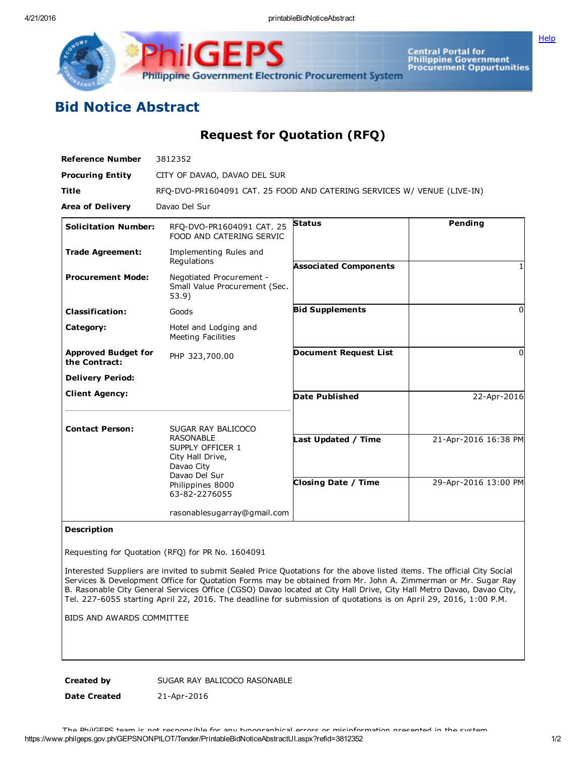4/21/2016 printableBidNoticeAbstract

**[Help](javascript:void(window.open()** 



Central Portal for<br>Philippine Government<br>Procurement Oppurtunities

## Bid Notice Abstract

Request for Quotation (RFQ)

| <b>Reference Number</b>                     | 3812352                                                                        |                              |                      |
|---------------------------------------------|--------------------------------------------------------------------------------|------------------------------|----------------------|
| <b>Procuring Entity</b>                     | CITY OF DAVAO, DAVAO DEL SUR                                                   |                              |                      |
| <b>Title</b>                                | RFQ-DVO-PR1604091 CAT. 25 FOOD AND CATERING SERVICES W/ VENUE (LIVE-IN)        |                              |                      |
| <b>Area of Delivery</b>                     | Davao Del Sur                                                                  |                              |                      |
| <b>Solicitation Number:</b>                 | RFO-DVO-PR1604091 CAT. 25<br>FOOD AND CATERING SERVIC                          | <b>Status</b>                | Pending              |
| <b>Trade Agreement:</b>                     | Implementing Rules and<br>Regulations                                          | <b>Associated Components</b> |                      |
| <b>Procurement Mode:</b>                    | Negotiated Procurement -<br>Small Value Procurement (Sec.<br>53.9)             |                              |                      |
| <b>Classification:</b>                      | Goods                                                                          | <b>Bid Supplements</b>       | <sup>0</sup>         |
| Category:                                   | Hotel and Lodging and<br><b>Meeting Facilities</b>                             |                              |                      |
| <b>Approved Budget for</b><br>the Contract: | PHP 323,700.00                                                                 | <b>Document Request List</b> | 0                    |
| <b>Delivery Period:</b>                     |                                                                                |                              |                      |
| <b>Client Agency:</b>                       |                                                                                | <b>Date Published</b>        | 22-Apr-2016          |
| <b>Contact Person:</b>                      | SUGAR RAY BALICOCO<br><b>RASONABLE</b><br>SUPPLY OFFICER 1<br>City Hall Drive, | Last Updated / Time          | 21-Apr-2016 16:38 PM |
|                                             | Davao City<br>Davao Del Sur<br>Philippines 8000<br>63-82-2276055               | <b>Closing Date / Time</b>   | 29-Apr-2016 13:00 PM |
|                                             | rasonablesugarray@gmail.com                                                    |                              |                      |

## Description

Requesting for Quotation (RFQ) for PR No. 1604091

Interested Suppliers are invited to submit Sealed Price Quotations for the above listed items. The official City Social Services & Development Office for Quotation Forms may be obtained from Mr. John A. Zimmerman or Mr. Sugar Ray B. Rasonable City General Services Office (CGSO) Davao located at City Hall Drive, City Hall Metro Davao, Davao City, Tel. 227-6055 starting April 22, 2016. The deadline for submission of quotations is on April 29, 2016, 1:00 P.M.

BIDS AND AWARDS COMMITTEE

Created by SUGAR RAY BALICOCO RASONABLE

Date Created 21-Apr-2016